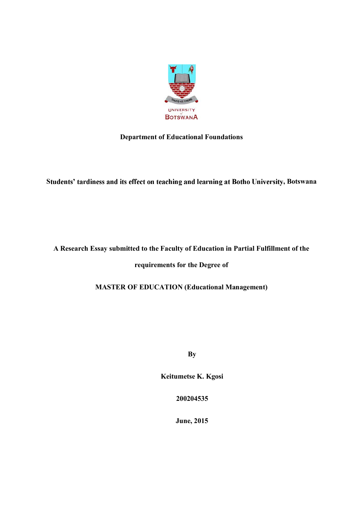

# **Department of Educational Foundations**

Students' tardiness and its effect on teaching and learning at Botho University, Botswana

# **A Research Essay submitted to the Faculty of Education in Partial Fulfillment of the**

**requirements for the Degree of**

**MASTER OF EDUCATION (Educational Management)**

**By**

**Keitumetse K. Kgosi**

**200204535**

**June, 2015**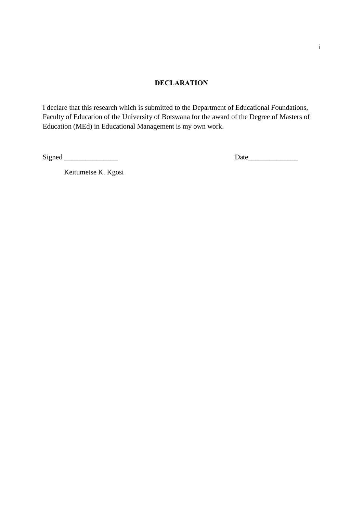### **DECLARATION**

I declare that this research which is submitted to the Department of Educational Foundations, Faculty of Education of the University of Botswana for the award of the Degree of Masters of Education (MEd) in Educational Management is my own work.

Signed \_\_\_\_\_\_\_\_\_\_\_\_\_\_\_ Date\_\_\_\_\_\_\_\_\_\_\_\_\_\_

Keitumetse K. Kgosi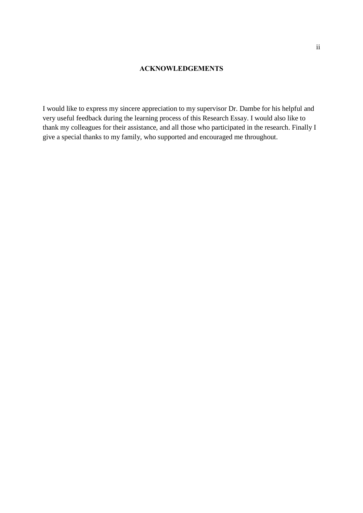### **ACKNOWLEDGEMENTS**

I would like to express my sincere appreciation to my supervisor Dr. Dambe for his helpful and very useful feedback during the learning process of this Research Essay. I would also like to thank my colleagues for their assistance, and all those who participated in the research. Finally I give a special thanks to my family, who supported and encouraged me throughout.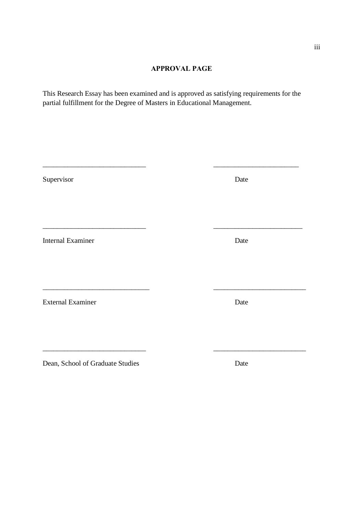## **APPROVAL PAGE**

This Research Essay has been examined and is approved as satisfying requirements for the partial fulfillment for the Degree of Masters in Educational Management.

| Supervisor                       | Date |  |
|----------------------------------|------|--|
|                                  |      |  |
|                                  |      |  |
| <b>Internal Examiner</b>         | Date |  |
|                                  |      |  |
|                                  |      |  |
| <b>External Examiner</b>         | Date |  |
|                                  |      |  |
|                                  |      |  |
| Dean, School of Graduate Studies | Date |  |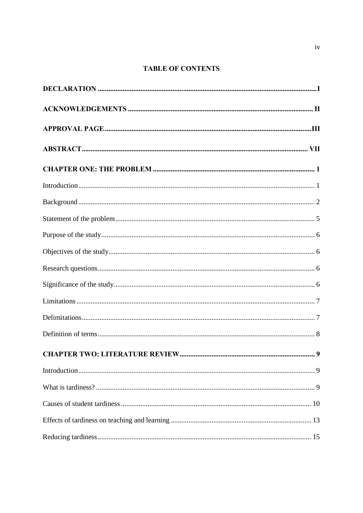# **TABLE OF CONTENTS**

| 9 |
|---|
|   |
|   |
|   |
|   |
|   |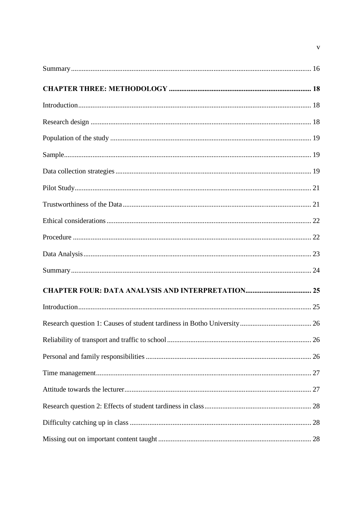$\mathbf{v}$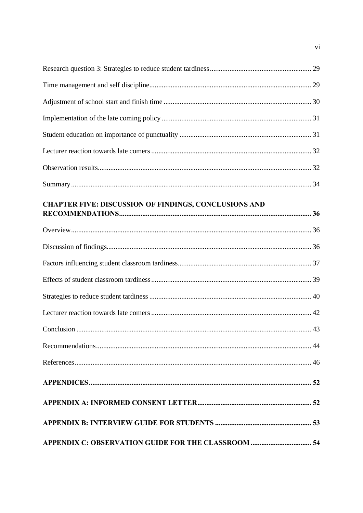| CHAPTER FIVE: DISCUSSION OF FINDINGS, CONCLUSIONS AND |  |
|-------------------------------------------------------|--|
|                                                       |  |
|                                                       |  |
|                                                       |  |
|                                                       |  |
|                                                       |  |
|                                                       |  |
|                                                       |  |
|                                                       |  |
|                                                       |  |
|                                                       |  |
|                                                       |  |
|                                                       |  |
|                                                       |  |
|                                                       |  |

 $\overline{\mathbf{v}}$ i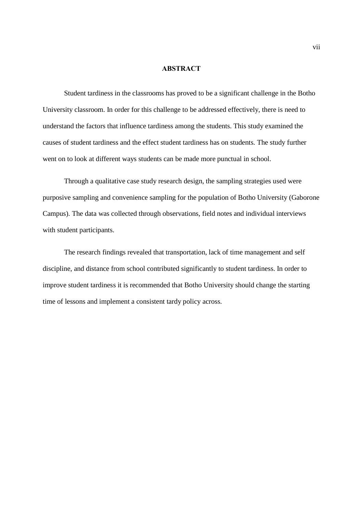### **ABSTRACT**

Student tardiness in the classrooms has proved to be a significant challenge in the Botho University classroom. In order for this challenge to be addressed effectively, there is need to understand the factors that influence tardiness among the students. This study examined the causes of student tardiness and the effect student tardiness has on students. The study further went on to look at different ways students can be made more punctual in school.

Through a qualitative case study research design, the sampling strategies used were purposive sampling and convenience sampling for the population of Botho University (Gaborone Campus). The data was collected through observations, field notes and individual interviews with student participants.

The research findings revealed that transportation, lack of time management and self discipline, and distance from school contributed significantly to student tardiness. In order to improve student tardiness it is recommended that Botho University should change the starting time of lessons and implement a consistent tardy policy across.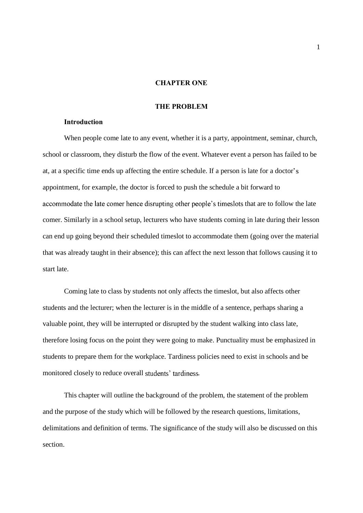### **CHAPTER ONE**

### **THE PROBLEM**

### **Introduction**

When people come late to any event, whether it is a party, appointment, seminar, church, school or classroom, they disturb the flow of the event. Whatever event a person has failed to be at, at a specific time ends up affecting the entire schedule. If a person is late for a doctor appointment, for example, the doctor is forced to push the schedule a bit forward to accommodate the late comer hence disrupting other people's times lots that are to follow the late comer. Similarly in a school setup, lecturers who have students coming in late during their lesson can end up going beyond their scheduled timeslot to accommodate them (going over the material that was already taught in their absence); this can affect the next lesson that follows causing it to start late.

Coming late to class by students not only affects the timeslot, but also affects other students and the lecturer; when the lecturer is in the middle of a sentence, perhaps sharing a valuable point, they will be interrupted or disrupted by the student walking into class late, therefore losing focus on the point they were going to make. Punctuality must be emphasized in students to prepare them for the workplace. Tardiness policies need to exist in schools and be monitored closely to reduce overall students' tardiness.

This chapter will outline the background of the problem, the statement of the problem and the purpose of the study which will be followed by the research questions, limitations, delimitations and definition of terms. The significance of the study will also be discussed on this section.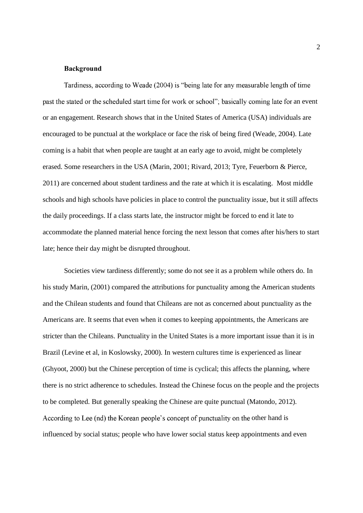### **Background**

Tardiness, according to Weade (2004) is "being late for any measurable length of time past the stated or the scheduled start time for work or school"; basically coming late for an event or an engagement. Research shows that in the United States of America (USA) individuals are encouraged to be punctual at the workplace or face the risk of being fired (Weade, 2004). Late coming is a habit that when people are taught at an early age to avoid, might be completely erased. Some researchers in the USA (Marin, 2001; Rivard, 2013; Tyre, Feuerborn & Pierce, 2011) are concerned about student tardiness and the rate at which it is escalating. Most middle schools and high schools have policies in place to control the punctuality issue, but it still affects the daily proceedings. If a class starts late, the instructor might be forced to end it late to accommodate the planned material hence forcing the next lesson that comes after his/hers to start late; hence their day might be disrupted throughout.

Societies view tardiness differently; some do not see it as a problem while others do. In his study Marin, (2001) compared the attributions for punctuality among the American students and the Chilean students and found that Chileans are not as concerned about punctuality as the Americans are. It seems that even when it comes to keeping appointments, the Americans are stricter than the Chileans. Punctuality in the United States is a more important issue than it is in Brazil (Levine et al, in Koslowsky, 2000). In western cultures time is experienced as linear (Ghyoot, 2000) but the Chinese perception of time is cyclical; this affects the planning, where there is no strict adherence to schedules. Instead the Chinese focus on the people and the projects to be completed. But generally speaking the Chinese are quite punctual (Matondo, 2012). According to Lee (nd) the Korean people's concept of punctuality on the other hand is influenced by social status; people who have lower social status keep appointments and even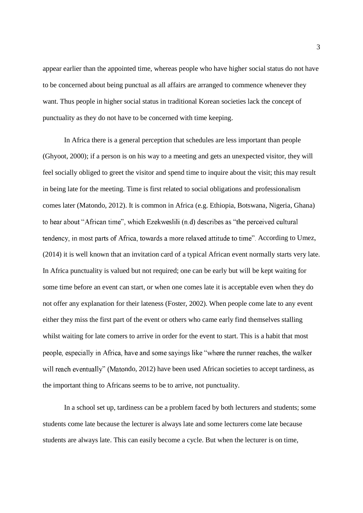appear earlier than the appointed time, whereas people who have higher social status do not have to be concerned about being punctual as all affairs are arranged to commence whenever they want. Thus people in higher social status in traditional Korean societies lack the concept of punctuality as they do not have to be concerned with time keeping.

In Africa there is a general perception that schedules are less important than people (Ghyoot, 2000); if a person is on his way to a meeting and gets an unexpected visitor, they will feel socially obliged to greet the visitor and spend time to inquire about the visit; this may result in being late for the meeting. Time is first related to social obligations and professionalism comes later (Matondo, 2012). It is common in Africa (e.g. Ethiopia, Botswana, Nigeria, Ghana) to hear about "African time", which Ezekweslili (n.d) describes as "the perceived cultural tendency, in most parts of Africa, towards a more relaxed attitude to time". According to Umez, (2014) it is well known that an invitation card of a typical African event normally starts very late. In Africa punctuality is valued but not required; one can be early but will be kept waiting for some time before an event can start, or when one comes late it is acceptable even when they do not offer any explanation for their lateness (Foster, 2002). When people come late to any event either they miss the first part of the event or others who came early find themselves stalling whilst waiting for late comers to arrive in order for the event to start. This is a habit that most people, especially in Africa, have and some sayings like "where the runner reaches, the walker will reach eventually" (Matondo, 2012) have been used African societies to accept tardiness, as the important thing to Africans seems to be to arrive, not punctuality.

In a school set up, tardiness can be a problem faced by both lecturers and students; some students come late because the lecturer is always late and some lecturers come late because students are always late. This can easily become a cycle. But when the lecturer is on time,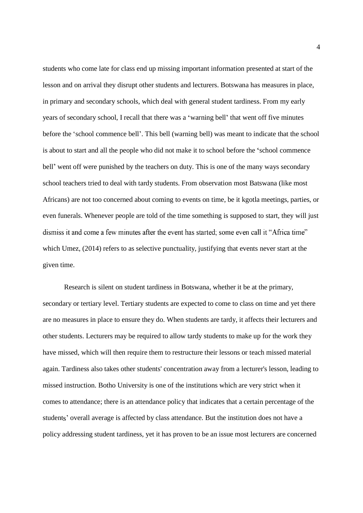students who come late for class end up missing important information presented at start of the lesson and on arrival they disrupt other students and lecturers. Botswana has measures in place, in primary and secondary schools, which deal with general student tardiness. From my early years of secondary school, I recall that there was a 'warning bell' that went off five minutes before the 'school commence bell'. This bell (warning bell) was meant to indicate that the school is about to start and all the people who did not make it to school before the 'school commence bell' went off were punished by the teachers on duty. This is one of the many ways secondary school teachers tried to deal with tardy students. From observation most Batswana (like most Africans) are not too concerned about coming to events on time, be it kgotla meetings, parties, or even funerals. Whenever people are told of the time something is supposed to start, they will just dismiss it and come a few minutes after the event has started; some even call it "Africa time" which Umez, (2014) refers to as selective punctuality, justifying that events never start at the given time.

Research is silent on student tardiness in Botswana, whether it be at the primary, secondary or tertiary level. Tertiary students are expected to come to class on time and yet there are no measures in place to ensure they do. When students are tardy, it affects their lecturers and other students. Lecturers may be required to allow tardy students to make up for the work they have missed, which will then require them to restructure their lessons or teach missed material again. Tardiness also takes other students' concentration away from a lecturer's lesson, leading to missed instruction. Botho University is one of the institutions which are very strict when it comes to attendance; there is an attendance policy that indicates that a certain percentage of the students' overall average is affected by class attendance. But the institution does not have a policy addressing student tardiness, yet it has proven to be an issue most lecturers are concerned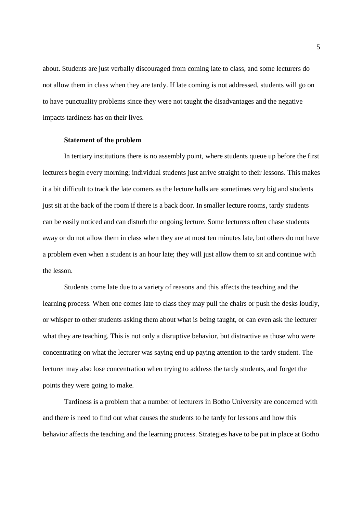about. Students are just verbally discouraged from coming late to class, and some lecturers do not allow them in class when they are tardy. If late coming is not addressed, students will go on to have punctuality problems since they were not taught the disadvantages and the negative impacts tardiness has on their lives.

### **Statement of the problem**

In tertiary institutions there is no assembly point, where students queue up before the first lecturers begin every morning; individual students just arrive straight to their lessons. This makes it a bit difficult to track the late comers as the lecture halls are sometimes very big and students just sit at the back of the room if there is a back door. In smaller lecture rooms, tardy students can be easily noticed and can disturb the ongoing lecture. Some lecturers often chase students away or do not allow them in class when they are at most ten minutes late, but others do not have a problem even when a student is an hour late; they will just allow them to sit and continue with the lesson.

Students come late due to a variety of reasons and this affects the teaching and the learning process. When one comes late to class they may pull the chairs or push the desks loudly, or whisper to other students asking them about what is being taught, or can even ask the lecturer what they are teaching. This is not only a disruptive behavior, but distractive as those who were concentrating on what the lecturer was saying end up paying attention to the tardy student. The lecturer may also lose concentration when trying to address the tardy students, and forget the points they were going to make.

Tardiness is a problem that a number of lecturers in Botho University are concerned with and there is need to find out what causes the students to be tardy for lessons and how this behavior affects the teaching and the learning process. Strategies have to be put in place at Botho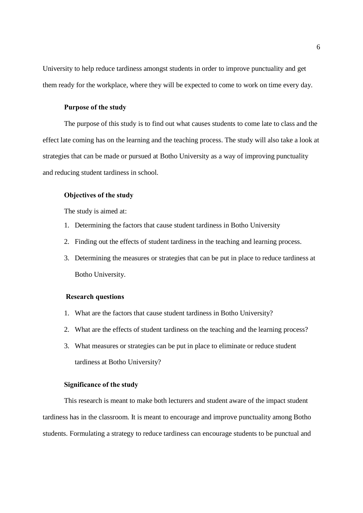University to help reduce tardiness amongst students in order to improve punctuality and get them ready for the workplace, where they will be expected to come to work on time every day.

### **Purpose of the study**

The purpose of this study is to find out what causes students to come late to class and the effect late coming has on the learning and the teaching process. The study will also take a look at strategies that can be made or pursued at Botho University as a way of improving punctuality and reducing student tardiness in school.

### **Objectives of the study**

The study is aimed at:

- 1. Determining the factors that cause student tardiness in Botho University
- 2. Finding out the effects of student tardiness in the teaching and learning process.
- 3. Determining the measures or strategies that can be put in place to reduce tardiness at Botho University.

### **Research questions**

- 1. What are the factors that cause student tardiness in Botho University?
- 2. What are the effects of student tardiness on the teaching and the learning process?
- 3. What measures or strategies can be put in place to eliminate or reduce student tardiness at Botho University?

### **Significance of the study**

This research is meant to make both lecturers and student aware of the impact student tardiness has in the classroom. It is meant to encourage and improve punctuality among Botho students. Formulating a strategy to reduce tardiness can encourage students to be punctual and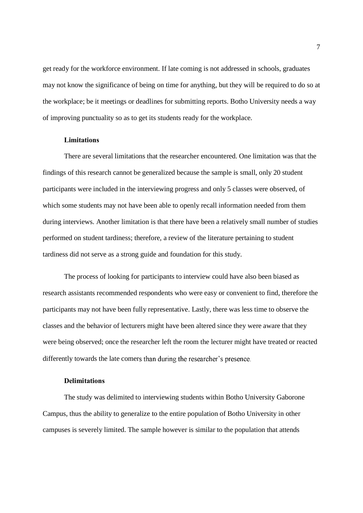get ready for the workforce environment. If late coming is not addressed in schools, graduates may not know the significance of being on time for anything, but they will be required to do so at the workplace; be it meetings or deadlines for submitting reports. Botho University needs a way of improving punctuality so as to get its students ready for the workplace.

### **Limitations**

There are several limitations that the researcher encountered. One limitation was that the findings of this research cannot be generalized because the sample is small, only 20 student participants were included in the interviewing progress and only 5 classes were observed, of which some students may not have been able to openly recall information needed from them during interviews. Another limitation is that there have been a relatively small number of studies performed on student tardiness; therefore, a review of the literature pertaining to student tardiness did not serve as a strong guide and foundation for this study.

The process of looking for participants to interview could have also been biased as research assistants recommended respondents who were easy or convenient to find, therefore the participants may not have been fully representative. Lastly, there was less time to observe the classes and the behavior of lecturers might have been altered since they were aware that they were being observed; once the researcher left the room the lecturer might have treated or reacted differently towards the late comers than during the researcher's presence.

### **Delimitations**

The study was delimited to interviewing students within Botho University Gaborone Campus, thus the ability to generalize to the entire population of Botho University in other campuses is severely limited. The sample however is similar to the population that attends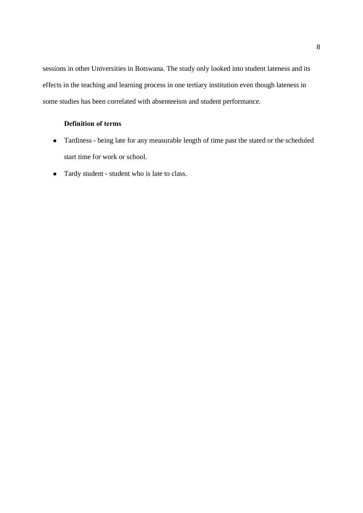sessions in other Universities in Botswana. The study only looked into student lateness and its effects in the teaching and learning process in one tertiary institution even though lateness in some studies has been correlated with absenteeism and student performance.

# **Definition of terms**

- Tardiness being late for any measurable length of time past the stated or the scheduled start time for work or school.
- Tardy student student who is late to class.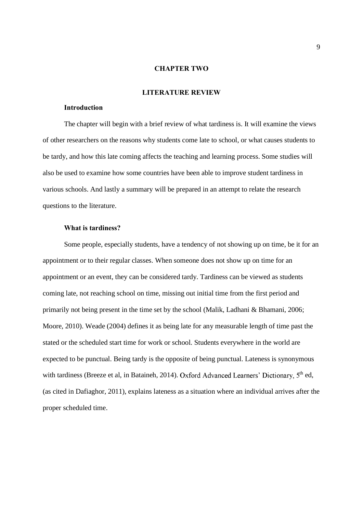### **CHAPTER TWO**

### **LITERATURE REVIEW**

### **Introduction**

The chapter will begin with a brief review of what tardiness is. It will examine the views of other researchers on the reasons why students come late to school, or what causes students to be tardy, and how this late coming affects the teaching and learning process. Some studies will also be used to examine how some countries have been able to improve student tardiness in various schools. And lastly a summary will be prepared in an attempt to relate the research questions to the literature.

### **What is tardiness?**

Some people, especially students, have a tendency of not showing up on time, be it for an appointment or to their regular classes. When someone does not show up on time for an appointment or an event, they can be considered tardy. Tardiness can be viewed as students coming late, not reaching school on time, missing out initial time from the first period and primarily not being present in the time set by the school (Malik, Ladhani & Bhamani, 2006; Moore, 2010). Weade (2004) defines it as being late for any measurable length of time past the stated or the scheduled start time for work or school. Students everywhere in the world are expected to be punctual. Being tardy is the opposite of being punctual. Lateness is synonymous with tardiness (Breeze et al, in Bataineh, 2014). Oxford Advanced Learners' Dictionary, 5<sup>th</sup> ed, (as cited in Dafiaghor, 2011), explains lateness as a situation where an individual arrives after the proper scheduled time.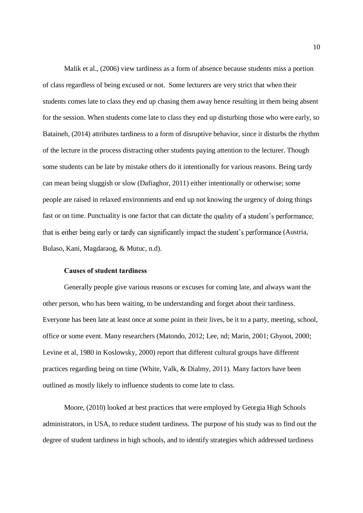Malik et al., (2006) view tardiness as a form of absence because students miss a portion of class regardless of being excused or not. Some lecturers are very strict that when their students comes late to class they end up chasing them away hence resulting in them being absent for the session. When students come late to class they end up disturbing those who were early, so Bataineh, (2014) attributes tardiness to a form of disruptive behavior, since it disturbs the rhythm of the lecture in the process distracting other students paying attention to the lecturer. Though some students can be late by mistake others do it intentionally for various reasons. Being tardy can mean being sluggish or slow (Dafiaghor, 2011) either intentionally or otherwise; some people are raised in relaxed environments and end up not knowing the urgency of doing things fast or on time. Punctuality is one factor that can dictate the quality of a student's performance; that is either being early or tardy can significantly impact the student's performance (Austria, Bulaso, Kani, Magdaraog, & Mutuc, n.d).

### **Causes of student tardiness**

Generally people give various reasons or excuses for coming late, and always want the other person, who has been waiting, to be understanding and forget about their tardiness. Everyone has been late at least once at some point in their lives, be it to a party, meeting, school, office or some event. Many researchers (Matondo, 2012; Lee, nd; Marin, 2001; Ghyoot, 2000; Levine et al, 1980 in Koslowsky, 2000) report that different cultural groups have different practices regarding being on time (White, Valk, & Dialmy, 2011). Many factors have been outlined as mostly likely to influence students to come late to class.

Moore, (2010) looked at best practices that were employed by Georgia High Schools administrators, in USA, to reduce student tardiness. The purpose of his study was to find out the degree of student tardiness in high schools, and to identify strategies which addressed tardiness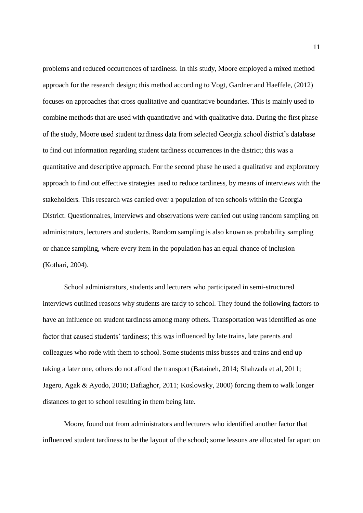problems and reduced occurrences of tardiness. In this study, Moore employed a mixed method approach for the research design; this method according to Vogt, Gardner and Haeffele, (2012) focuses on approaches that cross qualitative and quantitative boundaries. This is mainly used to combine methods that are used with quantitative and with qualitative data. During the first phase of the study, Moore used student tardiness data from selected Georgia school district's database to find out information regarding student tardiness occurrences in the district; this was a quantitative and descriptive approach. For the second phase he used a qualitative and exploratory approach to find out effective strategies used to reduce tardiness, by means of interviews with the stakeholders. This research was carried over a population of ten schools within the Georgia District. Questionnaires, interviews and observations were carried out using random sampling on administrators, lecturers and students. Random sampling is also known as probability sampling or chance sampling, where every item in the population has an equal chance of inclusion (Kothari, 2004).

School administrators, students and lecturers who participated in semi-structured interviews outlined reasons why students are tardy to school. They found the following factors to have an influence on student tardiness among many others. Transportation was identified as one factor that caused students' tardiness; this was influenced by late trains, late parents and colleagues who rode with them to school. Some students miss busses and trains and end up taking a later one, others do not afford the transport (Bataineh, 2014; Shahzada et al, 2011; Jagero, Agak & Ayodo, 2010; Dafiaghor, 2011; Koslowsky, 2000) forcing them to walk longer distances to get to school resulting in them being late.

Moore, found out from administrators and lecturers who identified another factor that influenced student tardiness to be the layout of the school; some lessons are allocated far apart on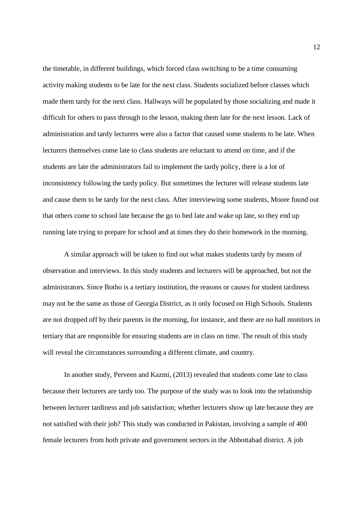the timetable, in different buildings, which forced class switching to be a time consuming activity making students to be late for the next class. Students socialized before classes which made them tardy for the next class. Hallways will be populated by those socializing and made it difficult for others to pass through to the lesson, making them late for the next lesson. Lack of administration and tardy lecturers were also a factor that caused some students to be late. When lecturers themselves come late to class students are reluctant to attend on time, and if the students are late the administrators fail to implement the tardy policy, there is a lot of inconsistency following the tardy policy. But sometimes the lecturer will release students late and cause them to be tardy for the next class. After interviewing some students, Moore found out that others come to school late because the go to bed late and wake up late, so they end up running late trying to prepare for school and at times they do their homework in the morning.

A similar approach will be taken to find out what makes students tardy by means of observation and interviews. In this study students and lecturers will be approached, but not the administrators. Since Botho is a tertiary institution, the reasons or causes for student tardiness may not be the same as those of Georgia District, as it only focused on High Schools. Students are not dropped off by their parents in the morning, for instance, and there are no hall monitors in tertiary that are responsible for ensuring students are in class on time. The result of this study will reveal the circumstances surrounding a different climate, and country.

In another study, Perveen and Kazmi, (2013) revealed that students come late to class because their lecturers are tardy too. The purpose of the study was to look into the relationship between lecturer tardiness and job satisfaction; whether lecturers show up late because they are not satisfied with their job? This study was conducted in Pakistan, involving a sample of 400 female lecturers from both private and government sectors in the Abbottabad district. A job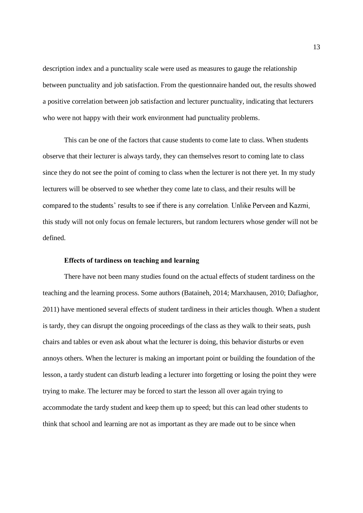description index and a punctuality scale were used as measures to gauge the relationship between punctuality and job satisfaction. From the questionnaire handed out, the results showed a positive correlation between job satisfaction and lecturer punctuality, indicating that lecturers who were not happy with their work environment had punctuality problems.

This can be one of the factors that cause students to come late to class. When students observe that their lecturer is always tardy, they can themselves resort to coming late to class since they do not see the point of coming to class when the lecturer is not there yet. In my study lecturers will be observed to see whether they come late to class, and their results will be compared to the students' results to see if there is any correlation. Unlike Perveen and Kazmi, this study will not only focus on female lecturers, but random lecturers whose gender will not be defined.

### **Effects of tardiness on teaching and learning**

There have not been many studies found on the actual effects of student tardiness on the teaching and the learning process. Some authors (Bataineh, 2014; Marxhausen, 2010; Dafiaghor, 2011) have mentioned several effects of student tardiness in their articles though. When a student is tardy, they can disrupt the ongoing proceedings of the class as they walk to their seats, push chairs and tables or even ask about what the lecturer is doing, this behavior disturbs or even annoys others. When the lecturer is making an important point or building the foundation of the lesson, a tardy student can disturb leading a lecturer into forgetting or losing the point they were trying to make. The lecturer may be forced to start the lesson all over again trying to accommodate the tardy student and keep them up to speed; but this can lead other students to think that school and learning are not as important as they are made out to be since when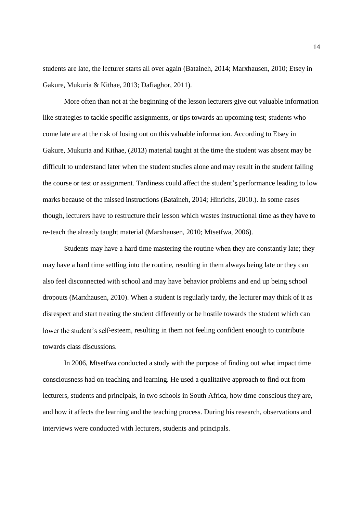students are late, the lecturer starts all over again (Bataineh, 2014; Marxhausen, 2010; Etsey in Gakure, Mukuria & Kithae, 2013; Dafiaghor, 2011).

More often than not at the beginning of the lesson lecturers give out valuable information like strategies to tackle specific assignments, or tips towards an upcoming test; students who come late are at the risk of losing out on this valuable information. According to Etsey in Gakure, Mukuria and Kithae, (2013) material taught at the time the student was absent may be difficult to understand later when the student studies alone and may result in the student failing the course or test or assignment. Tardiness could affect the student's performance leading to low marks because of the missed instructions (Bataineh, 2014; Hinrichs, 2010.). In some cases though, lecturers have to restructure their lesson which wastes instructional time as they have to re-teach the already taught material (Marxhausen, 2010; Mtsetfwa, 2006).

Students may have a hard time mastering the routine when they are constantly late; they may have a hard time settling into the routine, resulting in them always being late or they can also feel disconnected with school and may have behavior problems and end up being school dropouts (Marxhausen, 2010). When a student is regularly tardy, the lecturer may think of it as disrespect and start treating the student differently or be hostile towards the student which can lower the student's self-esteem, resulting in them not feeling confident enough to contribute towards class discussions.

In 2006, Mtsetfwa conducted a study with the purpose of finding out what impact time consciousness had on teaching and learning. He used a qualitative approach to find out from lecturers, students and principals, in two schools in South Africa, how time conscious they are, and how it affects the learning and the teaching process. During his research, observations and interviews were conducted with lecturers, students and principals.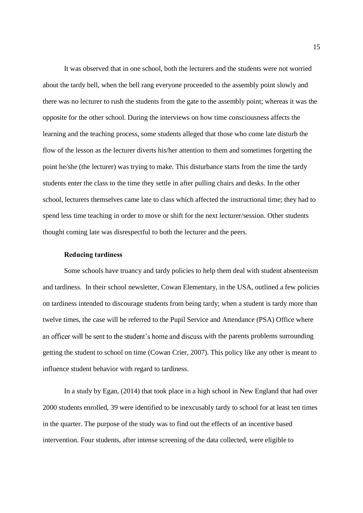It was observed that in one school, both the lecturers and the students were not worried about the tardy bell, when the bell rang everyone proceeded to the assembly point slowly and there was no lecturer to rush the students from the gate to the assembly point; whereas it was the opposite for the other school. During the interviews on how time consciousness affects the learning and the teaching process, some students alleged that those who come late disturb the flow of the lesson as the lecturer diverts his/her attention to them and sometimes forgetting the point he/she (the lecturer) was trying to make. This disturbance starts from the time the tardy students enter the class to the time they settle in after pulling chairs and desks. In the other school, lecturers themselves came late to class which affected the instructional time; they had to spend less time teaching in order to move or shift for the next lecturer/session. Other students thought coming late was disrespectful to both the lecturer and the peers.

### **Reducing tardiness**

Some schools have truancy and tardy policies to help them deal with student absenteeism and tardiness. In their school newsletter, Cowan Elementary, in the USA, outlined a few policies on tardiness intended to discourage students from being tardy; when a student is tardy more than twelve times, the case will be referred to the Pupil Service and Attendance (PSA) Office where an officer will be sent to the student's home and discuss with the parents problems surrounding getting the student to school on time (Cowan Crier, 2007). This policy like any other is meant to influence student behavior with regard to tardiness.

In a study by Egan, (2014) that took place in a high school in New England that had over 2000 students enrolled, 39 were identified to be inexcusably tardy to school for at least ten times in the quarter. The purpose of the study was to find out the effects of an incentive based intervention. Four students, after intense screening of the data collected, were eligible to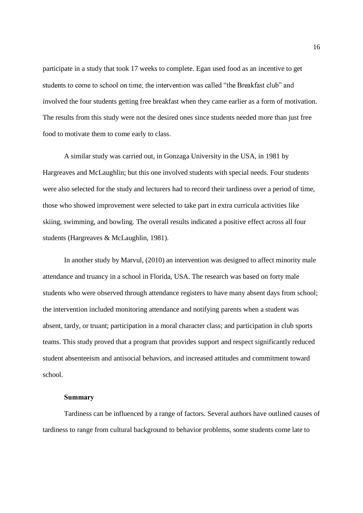participate in a study that took 17 weeks to complete. Egan used food as an incentive to get students to come to school on time; the intervention was called "the Breakfast club" and involved the four students getting free breakfast when they came earlier as a form of motivation. The results from this study were not the desired ones since students needed more than just free food to motivate them to come early to class.

A similar study was carried out, in Gonzaga University in the USA, in 1981 by Hargreaves and McLaughlin; but this one involved students with special needs. Four students were also selected for the study and lecturers had to record their tardiness over a period of time, those who showed improvement were selected to take part in extra curricula activities like skiing, swimming, and bowling. The overall results indicated a positive effect across all four students (Hargreaves & McLaughlin, 1981).

In another study by Marvul, (2010) an intervention was designed to affect minority male attendance and truancy in a school in Florida, USA. The research was based on forty male students who were observed through attendance registers to have many absent days from school; the intervention included monitoring attendance and notifying parents when a student was absent, tardy, or truant; participation in a moral character class; and participation in club sports teams. This study proved that a program that provides support and respect significantly reduced student absenteeism and antisocial behaviors, and increased attitudes and commitment toward school.

### **Summary**

Tardiness can be influenced by a range of factors. Several authors have outlined causes of tardiness to range from cultural background to behavior problems, some students come late to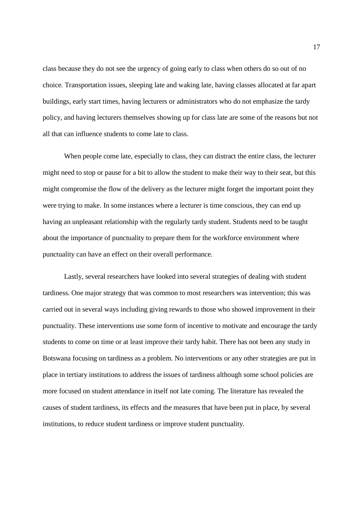class because they do not see the urgency of going early to class when others do so out of no choice. Transportation issues, sleeping late and waking late, having classes allocated at far apart buildings, early start times, having lecturers or administrators who do not emphasize the tardy policy, and having lecturers themselves showing up for class late are some of the reasons but not all that can influence students to come late to class.

When people come late, especially to class, they can distract the entire class, the lecturer might need to stop or pause for a bit to allow the student to make their way to their seat, but this might compromise the flow of the delivery as the lecturer might forget the important point they were trying to make. In some instances where a lecturer is time conscious, they can end up having an unpleasant relationship with the regularly tardy student. Students need to be taught about the importance of punctuality to prepare them for the workforce environment where punctuality can have an effect on their overall performance.

Lastly, several researchers have looked into several strategies of dealing with student tardiness. One major strategy that was common to most researchers was intervention; this was carried out in several ways including giving rewards to those who showed improvement in their punctuality. These interventions use some form of incentive to motivate and encourage the tardy students to come on time or at least improve their tardy habit. There has not been any study in Botswana focusing on tardiness as a problem. No interventions or any other strategies are put in place in tertiary institutions to address the issues of tardiness although some school policies are more focused on student attendance in itself not late coming. The literature has revealed the causes of student tardiness, its effects and the measures that have been put in place, by several institutions, to reduce student tardiness or improve student punctuality.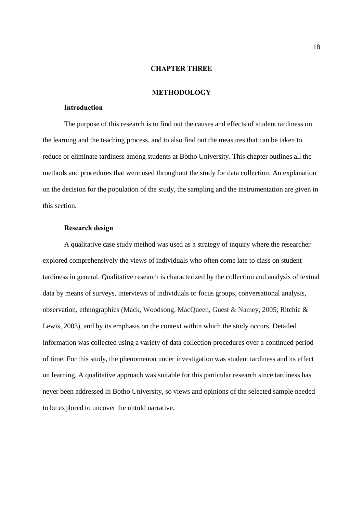### **CHAPTER THREE**

### **METHODOLOGY**

### **Introduction**

The purpose of this research is to find out the causes and effects of student tardiness on the learning and the teaching process, and to also find out the measures that can be taken to reduce or eliminate tardiness among students at Botho University. This chapter outlines all the methods and procedures that were used throughout the study for data collection. An explanation on the decision for the population of the study, the sampling and the instrumentation are given in this section.

### **Research design**

A qualitative case study method was used as a strategy of inquiry where the researcher explored comprehensively the views of individuals who often come late to class on student tardiness in general. Qualitative research is characterized by the collection and analysis of textual data by means of surveys, interviews of individuals or focus groups, conversational analysis, observation, ethnographies (Mack, Woodsong, MacQueen, Guest & Namey, 2005; Ritchie & Lewis, 2003), and by its emphasis on the context within which the study occurs. Detailed information was collected using a variety of data collection procedures over a continued period of time. For this study, the phenomenon under investigation was student tardiness and its effect on learning. A qualitative approach was suitable for this particular research since tardiness has never been addressed in Botho University, so views and opinions of the selected sample needed to be explored to uncover the untold narrative.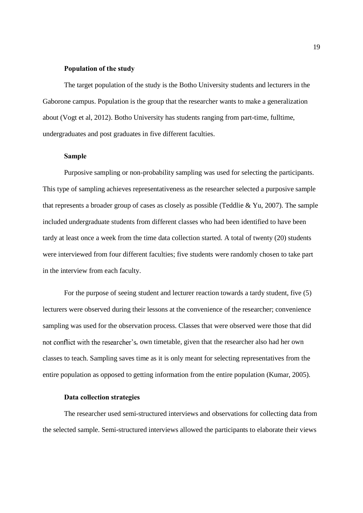### **Population of the study**

The target population of the study is the Botho University students and lecturers in the Gaborone campus. Population is the group that the researcher wants to make a generalization about (Vogt et al, 2012). Botho University has students ranging from part-time, fulltime, undergraduates and post graduates in five different faculties.

### **Sample**

Purposive sampling or non-probability sampling was used for selecting the participants. This type of sampling achieves representativeness as the researcher selected a purposive sample that represents a broader group of cases as closely as possible (Teddlie & Yu, 2007). The sample included undergraduate students from different classes who had been identified to have been tardy at least once a week from the time data collection started. A total of twenty (20) students were interviewed from four different faculties; five students were randomly chosen to take part in the interview from each faculty.

For the purpose of seeing student and lecturer reaction towards a tardy student, five (5) lecturers were observed during their lessons at the convenience of the researcher; convenience sampling was used for the observation process. Classes that were observed were those that did not conflict with the researcher's, own timetable, given that the researcher also had her own classes to teach. Sampling saves time as it is only meant for selecting representatives from the entire population as opposed to getting information from the entire population (Kumar, 2005).

### **Data collection strategies**

The researcher used semi-structured interviews and observations for collecting data from the selected sample. Semi-structured interviews allowed the participants to elaborate their views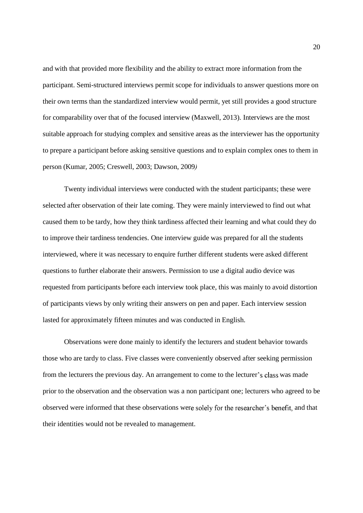and with that provided more flexibility and the ability to extract more information from the participant. Semi-structured interviews permit scope for individuals to answer questions more on their own terms than the standardized interview would permit, yet still provides a good structure for comparability over that of the focused interview (Maxwell, 2013). Interviews are the most suitable approach for studying complex and sensitive areas as the interviewer has the opportunity to prepare a participant before asking sensitive questions and to explain complex ones to them in person (Kumar, 2005; Creswell, 2003; Dawson, 2009*)*

Twenty individual interviews were conducted with the student participants; these were selected after observation of their late coming. They were mainly interviewed to find out what caused them to be tardy, how they think tardiness affected their learning and what could they do to improve their tardiness tendencies. One interview guide was prepared for all the students interviewed, where it was necessary to enquire further different students were asked different questions to further elaborate their answers. Permission to use a digital audio device was requested from participants before each interview took place, this was mainly to avoid distortion of participants views by only writing their answers on pen and paper. Each interview session lasted for approximately fifteen minutes and was conducted in English.

Observations were done mainly to identify the lecturers and student behavior towards those who are tardy to class. Five classes were conveniently observed after seeking permission from the lecturers the previous day. An arrangement to come to the lecturer's class was made prior to the observation and the observation was a non participant one; lecturers who agreed to be observed were informed that these observations were solely for the researcher's benefit, and that their identities would not be revealed to management.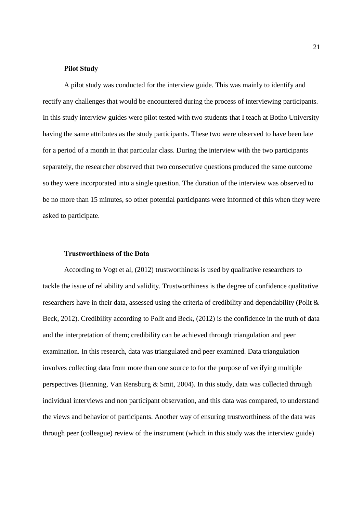### **Pilot Study**

A pilot study was conducted for the interview guide. This was mainly to identify and rectify any challenges that would be encountered during the process of interviewing participants. In this study interview guides were pilot tested with two students that I teach at Botho University having the same attributes as the study participants. These two were observed to have been late for a period of a month in that particular class. During the interview with the two participants separately, the researcher observed that two consecutive questions produced the same outcome so they were incorporated into a single question. The duration of the interview was observed to be no more than 15 minutes, so other potential participants were informed of this when they were asked to participate.

#### **Trustworthiness of the Data**

According to Vogt et al, (2012) trustworthiness is used by qualitative researchers to tackle the issue of reliability and validity. Trustworthiness is the degree of confidence qualitative researchers have in their data, assessed using the criteria of credibility and dependability (Polit & Beck, 2012). Credibility according to Polit and Beck, (2012) is the confidence in the truth of data and the interpretation of them; credibility can be achieved through triangulation and peer examination. In this research, data was triangulated and peer examined. Data triangulation involves collecting data from more than one source to for the purpose of verifying multiple perspectives (Henning, Van Rensburg & Smit, 2004). In this study, data was collected through individual interviews and non participant observation, and this data was compared, to understand the views and behavior of participants. Another way of ensuring trustworthiness of the data was through peer (colleague) review of the instrument (which in this study was the interview guide)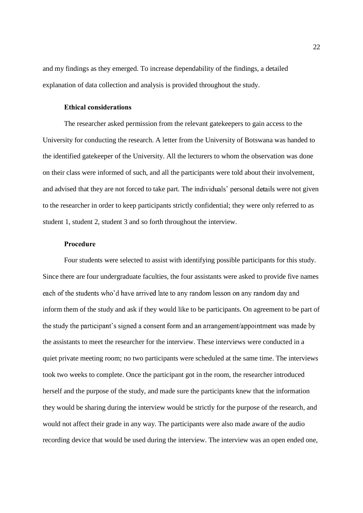and my findings as they emerged. To increase dependability of the findings, a detailed explanation of data collection and analysis is provided throughout the study.

### **Ethical considerations**

The researcher asked permission from the relevant gatekeepers to gain access to the University for conducting the research. A letter from the University of Botswana was handed to the identified gatekeeper of the University. All the lecturers to whom the observation was done on their class were informed of such, and all the participants were told about their involvement, and advised that they are not forced to take part. The individuals' personal details were not given to the researcher in order to keep participants strictly confidential; they were only referred to as student 1, student 2, student 3 and so forth throughout the interview.

### **Procedure**

Four students were selected to assist with identifying possible participants for this study. Since there are four undergraduate faculties, the four assistants were asked to provide five names each of the students who'd have arrived late to any random lesson on any random day and inform them of the study and ask if they would like to be participants. On agreement to be part of the study the participant's signed a consent form and an arrangement/appointment was made by the assistants to meet the researcher for the interview. These interviews were conducted in a quiet private meeting room; no two participants were scheduled at the same time. The interviews took two weeks to complete. Once the participant got in the room, the researcher introduced herself and the purpose of the study, and made sure the participants knew that the information they would be sharing during the interview would be strictly for the purpose of the research, and would not affect their grade in any way. The participants were also made aware of the audio recording device that would be used during the interview. The interview was an open ended one,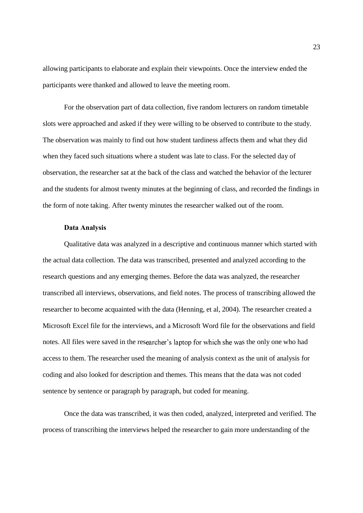allowing participants to elaborate and explain their viewpoints. Once the interview ended the participants were thanked and allowed to leave the meeting room.

For the observation part of data collection, five random lecturers on random timetable slots were approached and asked if they were willing to be observed to contribute to the study. The observation was mainly to find out how student tardiness affects them and what they did when they faced such situations where a student was late to class. For the selected day of observation, the researcher sat at the back of the class and watched the behavior of the lecturer and the students for almost twenty minutes at the beginning of class, and recorded the findings in the form of note taking. After twenty minutes the researcher walked out of the room.

### **Data Analysis**

Qualitative data was analyzed in a descriptive and continuous manner which started with the actual data collection. The data was transcribed, presented and analyzed according to the research questions and any emerging themes. Before the data was analyzed, the researcher transcribed all interviews, observations, and field notes. The process of transcribing allowed the researcher to become acquainted with the data (Henning, et al, 2004). The researcher created a Microsoft Excel file for the interviews, and a Microsoft Word file for the observations and field notes. All files were saved in the researcher's laptop for which she was the only one who had access to them. The researcher used the meaning of analysis context as the unit of analysis for coding and also looked for description and themes. This means that the data was not coded sentence by sentence or paragraph by paragraph, but coded for meaning.

Once the data was transcribed, it was then coded, analyzed, interpreted and verified. The process of transcribing the interviews helped the researcher to gain more understanding of the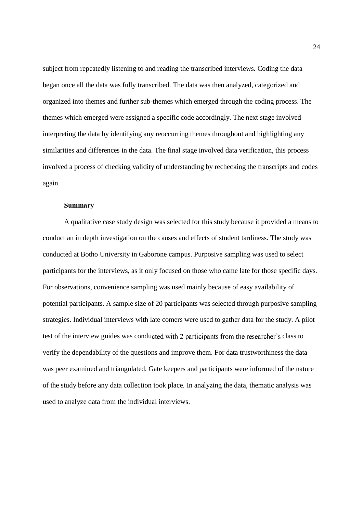subject from repeatedly listening to and reading the transcribed interviews. Coding the data began once all the data was fully transcribed. The data was then analyzed, categorized and organized into themes and further sub-themes which emerged through the coding process. The themes which emerged were assigned a specific code accordingly. The next stage involved interpreting the data by identifying any reoccurring themes throughout and highlighting any similarities and differences in the data. The final stage involved data verification, this process involved a process of checking validity of understanding by rechecking the transcripts and codes again.

### **Summary**

A qualitative case study design was selected for this study because it provided a means to conduct an in depth investigation on the causes and effects of student tardiness. The study was conducted at Botho University in Gaborone campus. Purposive sampling was used to select participants for the interviews, as it only focused on those who came late for those specific days. For observations, convenience sampling was used mainly because of easy availability of potential participants. A sample size of 20 participants was selected through purposive sampling strategies. Individual interviews with late comers were used to gather data for the study. A pilot test of the interview guides was conducted with 2 participants from the researcher's class to verify the dependability of the questions and improve them. For data trustworthiness the data was peer examined and triangulated. Gate keepers and participants were informed of the nature of the study before any data collection took place. In analyzing the data, thematic analysis was used to analyze data from the individual interviews.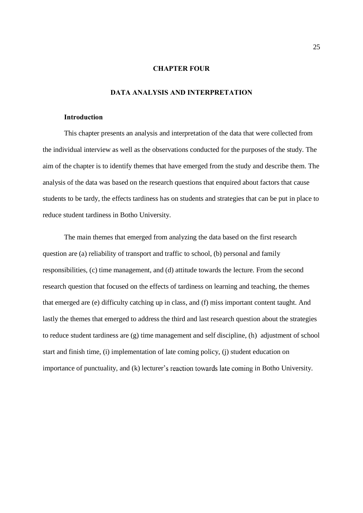### **CHAPTER FOUR**

# **DATA ANALYSIS AND INTERPRETATION**

### **Introduction**

This chapter presents an analysis and interpretation of the data that were collected from the individual interview as well as the observations conducted for the purposes of the study. The aim of the chapter is to identify themes that have emerged from the study and describe them. The analysis of the data was based on the research questions that enquired about factors that cause students to be tardy, the effects tardiness has on students and strategies that can be put in place to reduce student tardiness in Botho University.

The main themes that emerged from analyzing the data based on the first research question are (a) reliability of transport and traffic to school, (b) personal and family responsibilities, (c) time management, and (d) attitude towards the lecture. From the second research question that focused on the effects of tardiness on learning and teaching, the themes that emerged are (e) difficulty catching up in class, and (f) miss important content taught. And lastly the themes that emerged to address the third and last research question about the strategies to reduce student tardiness are (g) time management and self discipline, (h) adjustment of school start and finish time, (i) implementation of late coming policy, (j) student education on importance of punctuality, and (k) lecturer's reaction towards late coming in Botho University.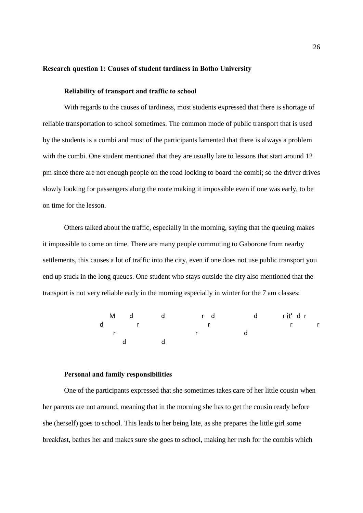### **Research question 1: Causes of student tardiness in Botho University**

### **Reliability of transport and traffic to school**

With regards to the causes of tardiness, most students expressed that there is shortage of reliable transportation to school sometimes. The common mode of public transport that is used by the students is a combi and most of the participants lamented that there is always a problem with the combi. One student mentioned that they are usually late to lessons that start around 12 pm since there are not enough people on the road looking to board the combi; so the driver drives slowly looking for passengers along the route making it impossible even if one was early, to be on time for the lesson.

Others talked about the traffic, especially in the morning, saying that the queuing makes it impossible to come on time. There are many people commuting to Gaborone from nearby settlements, this causes a lot of traffic into the city, even if one does not use public transport you end up stuck in the long queues. One student who stays outside the city also mentioned that the transport is not very reliable early in the morning especially in winter for the 7 am classes:



### **Personal and family responsibilities**

One of the participants expressed that she sometimes takes care of her little cousin when her parents are not around, meaning that in the morning she has to get the cousin ready before she (herself) goes to school. This leads to her being late, as she prepares the little girl some breakfast, bathes her and makes sure she goes to school, making her rush for the combis which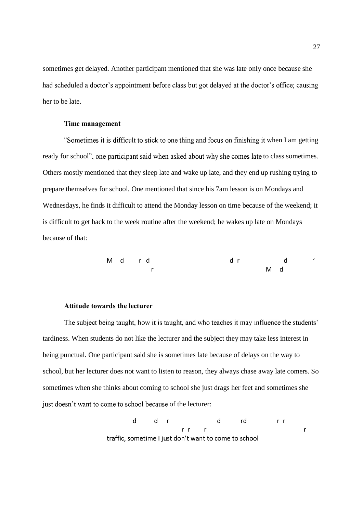sometimes get delayed. Another participant mentioned that she was late only once because she had scheduled a doctor's appointment before class but got delayed at the doctor's office; causing her to be late.

### **Time management**

"Sometimes it is difficult to stick to one thing and focus on finishing it when I am getting ready for school", one participant said when asked about why she comes late to class sometimes. Others mostly mentioned that they sleep late and wake up late, and they end up rushing trying to prepare themselves for school. One mentioned that since his 7am lesson is on Mondays and Wednesdays, he finds it difficult to attend the Monday lesson on time because of the weekend; it is difficult to get back to the week routine after the weekend; he wakes up late on Mondays because of that:

Md r d dr d r Md

### **Attitude towards the lecturer**

The subject being taught, how it is taught, and who teaches it may influence the students' tardiness. When students do not like the lecturer and the subject they may take less interest in being punctual. One participant said she is sometimes late because of delays on the way to school, but her lecturer does not want to listen to reason, they always chase away late comers. So sometimes when she thinks about coming to school she just drags her feet and sometimes she just doesn't want to come to school because of the lecturer:

> d dr d rd rr rr r r r r traffic, sometime I just don't want to come to school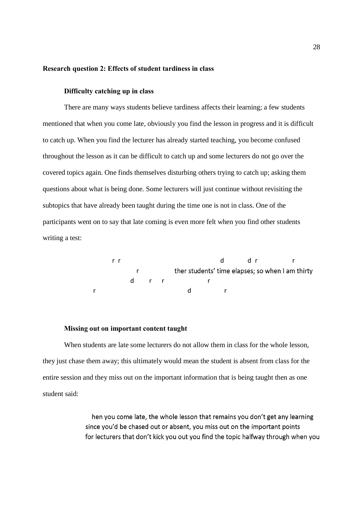### **Research question 2: Effects of student tardiness in class**

### **Difficulty catching up in class**

There are many ways students believe tardiness affects their learning; a few students mentioned that when you come late, obviously you find the lesson in progress and it is difficult to catch up. When you find the lecturer has already started teaching, you become confused throughout the lesson as it can be difficult to catch up and some lecturers do not go over the covered topics again. One finds themselves disturbing others trying to catch up; asking them questions about what is being done. Some lecturers will just continue without revisiting the subtopics that have already been taught during the time one is not in class. One of the participants went on to say that late coming is even more felt when you find other students writing a test:

> rr ddr r r ther students' time elapses; so when I am thirty d r r r r d r

#### **Missing out on important content taught**

When students are late some lecturers do not allow them in class for the whole lesson, they just chase them away; this ultimately would mean the student is absent from class for the entire session and they miss out on the important information that is being taught then as one student said:

> hen you come late, the whole lesson that remains you don't get any learning since you'd be chased out or absent, you miss out on the important points for lecturers that don't kick you out you find the topic halfway through when you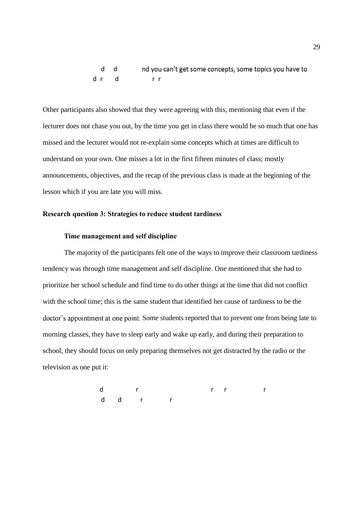d d drd rr

Other participants also showed that they were agreeing with this, mentioning that even if the lecturer does not chase you out, by the time you get in class there would be so much that one has missed and the lecturer would not re-explain some concepts which at times are difficult to understand on your own. One misses a lot in the first fifteen minutes of class; mostly announcements, objectives, and the recap of the previous class is made at the beginning of the lesson which if you are late you will miss.

### **Research question 3: Strategies to reduce student tardiness**

### **Time management and self discipline**

The majority of the participants felt one of the ways to improve their classroom tardiness tendency was through time management and self discipline. One mentioned that she had to prioritize her school schedule and find time to do other things at the time that did not conflict with the school time; this is the same student that identified her cause of tardiness to be the doctor's appointment at one point. Some students reported that to prevent one from being late to morning classes, they have to sleep early and wake up early, and during their preparation to school, they should focus on only preparing themselves not get distracted by the radio or the television as one put it:

 d r rr r d d r r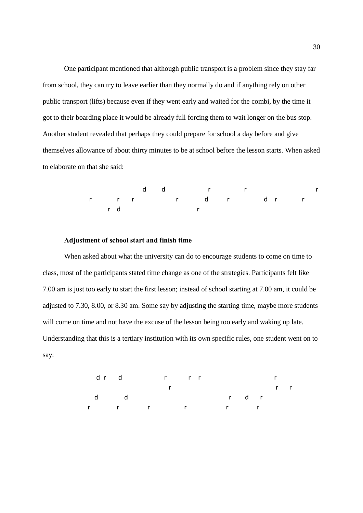One participant mentioned that although public transport is a problem since they stay far from school, they can try to leave earlier than they normally do and if anything rely on other public transport (lifts) because even if they went early and waited for the combi, by the time it got to their boarding place it would be already full forcing them to wait longer on the bus stop. Another student revealed that perhaps they could prepare for school a day before and give themselves allowance of about thirty minutes to be at school before the lesson starts. When asked to elaborate on that she said:

 dd r r r r r r r d r dr r rd r

### **Adjustment of school start and finish time**

When asked about what the university can do to encourage students to come on time to class, most of the participants stated time change as one of the strategies. Participants felt like 7.00 am is just too early to start the first lesson; instead of school starting at 7.00 am, it could be adjusted to 7.30, 8.00, or 8.30 am. Some say by adjusting the starting time, maybe more students will come on time and not have the excuse of the lesson being too early and waking up late. Understanding that this is a tertiary institution with its own specific rules, one student went on to say:

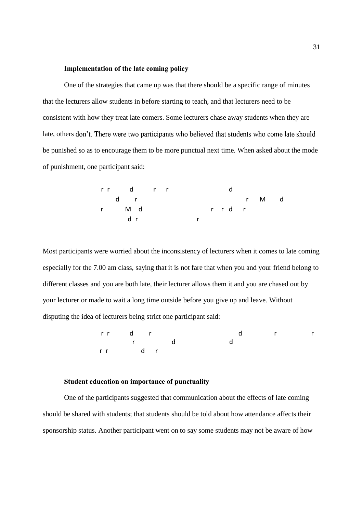### **Implementation of the late coming policy**

One of the strategies that came up was that there should be a specific range of minutes that the lecturers allow students in before starting to teach, and that lecturers need to be consistent with how they treat late comers. Some lecturers chase away students when they are late, others don't. There were two participants who believed that students who come late should be punished so as to encourage them to be more punctual next time. When asked about the mode of punishment, one participant said:

rr d r r d d r r Md r Md r r dr d r r

Most participants were worried about the inconsistency of lecturers when it comes to late coming especially for the 7.00 am class, saying that it is not fare that when you and your friend belong to different classes and you are both late, their lecturer allows them it and you are chased out by your lecturer or made to wait a long time outside before you give up and leave. Without disputing the idea of lecturers being strict one participant said:

rr d r d r r r d d rr dr

### **Student education on importance of punctuality**

One of the participants suggested that communication about the effects of late coming should be shared with students; that students should be told about how attendance affects their sponsorship status. Another participant went on to say some students may not be aware of how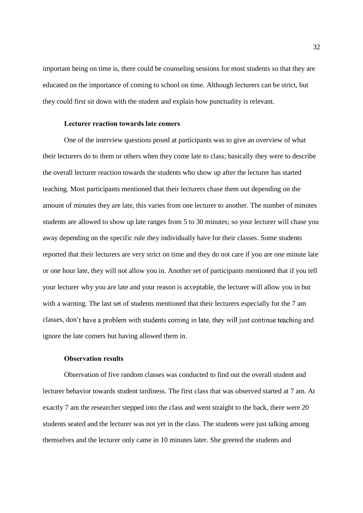important being on time is, there could be counseling sessions for most students so that they are educated on the importance of coming to school on time. Although lecturers can be strict, but they could first sit down with the student and explain how punctuality is relevant.

### **Lecturer reaction towards late comers**

One of the interview questions posed at participants was to give an overview of what their lecturers do to them or others when they come late to class; basically they were to describe the overall lecturer reaction towards the students who show up after the lecturer has started teaching. Most participants mentioned that their lecturers chase them out depending on the amount of minutes they are late, this varies from one lecturer to another. The number of minutes students are allowed to show up late ranges from 5 to 30 minutes; so your lecturer will chase you away depending on the specific rule they individually have for their classes. Some students reported that their lecturers are very strict on time and they do not care if you are one minute late or one hour late, they will not allow you in. Another set of participants mentioned that if you tell your lecturer why you are late and your reason is acceptable, the lecturer will allow you in but with a warning. The last set of students mentioned that their lecturers especially for the 7 am classes, don't have a problem with students coming in late, they will just continue teaching and ignore the late comers but having allowed them in.

### **Observation results**

Observation of five random classes was conducted to find out the overall student and lecturer behavior towards student tardiness. The first class that was observed started at 7 am. At exactly 7 am the researcher stepped into the class and went straight to the back, there were 20 students seated and the lecturer was not yet in the class. The students were just talking among themselves and the lecturer only came in 10 minutes later. She greeted the students and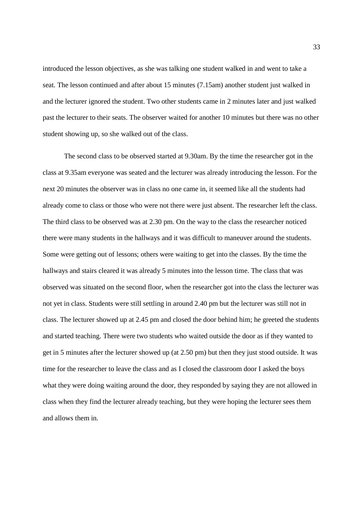introduced the lesson objectives, as she was talking one student walked in and went to take a seat. The lesson continued and after about 15 minutes (7.15am) another student just walked in and the lecturer ignored the student. Two other students came in 2 minutes later and just walked past the lecturer to their seats. The observer waited for another 10 minutes but there was no other student showing up, so she walked out of the class.

The second class to be observed started at 9.30am. By the time the researcher got in the class at 9.35am everyone was seated and the lecturer was already introducing the lesson. For the next 20 minutes the observer was in class no one came in, it seemed like all the students had already come to class or those who were not there were just absent. The researcher left the class. The third class to be observed was at 2.30 pm. On the way to the class the researcher noticed there were many students in the hallways and it was difficult to maneuver around the students. Some were getting out of lessons; others were waiting to get into the classes. By the time the hallways and stairs cleared it was already 5 minutes into the lesson time. The class that was observed was situated on the second floor, when the researcher got into the class the lecturer was not yet in class. Students were still settling in around 2.40 pm but the lecturer was still not in class. The lecturer showed up at 2.45 pm and closed the door behind him; he greeted the students and started teaching. There were two students who waited outside the door as if they wanted to get in 5 minutes after the lecturer showed up (at 2.50 pm) but then they just stood outside. It was time for the researcher to leave the class and as I closed the classroom door I asked the boys what they were doing waiting around the door, they responded by saying they are not allowed in class when they find the lecturer already teaching, but they were hoping the lecturer sees them and allows them in.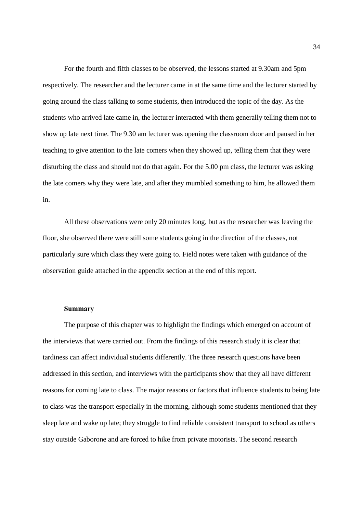For the fourth and fifth classes to be observed, the lessons started at 9.30am and 5pm respectively. The researcher and the lecturer came in at the same time and the lecturer started by going around the class talking to some students, then introduced the topic of the day. As the students who arrived late came in, the lecturer interacted with them generally telling them not to show up late next time. The 9.30 am lecturer was opening the classroom door and paused in her teaching to give attention to the late comers when they showed up, telling them that they were disturbing the class and should not do that again. For the 5.00 pm class, the lecturer was asking the late comers why they were late, and after they mumbled something to him, he allowed them in.

All these observations were only 20 minutes long, but as the researcher was leaving the floor, she observed there were still some students going in the direction of the classes, not particularly sure which class they were going to. Field notes were taken with guidance of the observation guide attached in the appendix section at the end of this report.

#### **Summary**

The purpose of this chapter was to highlight the findings which emerged on account of the interviews that were carried out. From the findings of this research study it is clear that tardiness can affect individual students differently. The three research questions have been addressed in this section, and interviews with the participants show that they all have different reasons for coming late to class. The major reasons or factors that influence students to being late to class was the transport especially in the morning, although some students mentioned that they sleep late and wake up late; they struggle to find reliable consistent transport to school as others stay outside Gaborone and are forced to hike from private motorists. The second research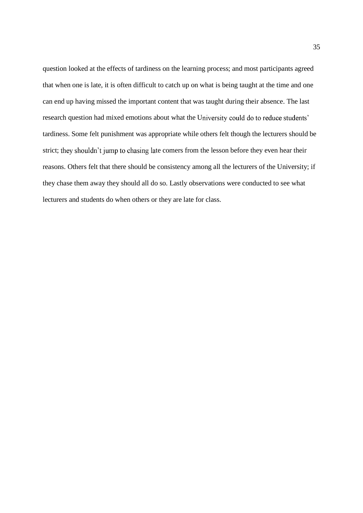question looked at the effects of tardiness on the learning process; and most participants agreed that when one is late, it is often difficult to catch up on what is being taught at the time and one can end up having missed the important content that was taught during their absence. The last research question had mixed emotions about what the University could do to reduce students' tardiness. Some felt punishment was appropriate while others felt though the lecturers should be strict; they shouldn't jump to chasing late comers from the lesson before they even hear their reasons. Others felt that there should be consistency among all the lecturers of the University; if they chase them away they should all do so. Lastly observations were conducted to see what lecturers and students do when others or they are late for class.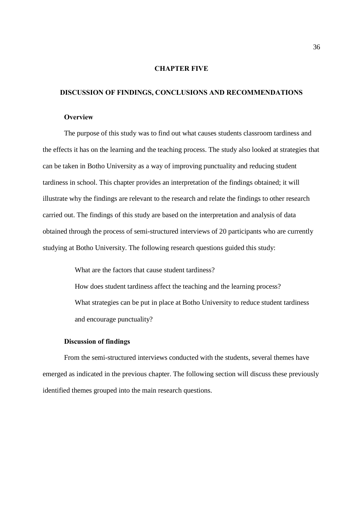### **CHAPTER FIVE**

### **DISCUSSION OF FINDINGS, CONCLUSIONS AND RECOMMENDATIONS**

### **Overview**

The purpose of this study was to find out what causes students classroom tardiness and the effects it has on the learning and the teaching process. The study also looked at strategies that can be taken in Botho University as a way of improving punctuality and reducing student tardiness in school. This chapter provides an interpretation of the findings obtained; it will illustrate why the findings are relevant to the research and relate the findings to other research carried out. The findings of this study are based on the interpretation and analysis of data obtained through the process of semi-structured interviews of 20 participants who are currently studying at Botho University. The following research questions guided this study:

> What are the factors that cause student tardiness? How does student tardiness affect the teaching and the learning process? What strategies can be put in place at Botho University to reduce student tardiness and encourage punctuality?

### **Discussion of findings**

From the semi-structured interviews conducted with the students, several themes have emerged as indicated in the previous chapter. The following section will discuss these previously identified themes grouped into the main research questions.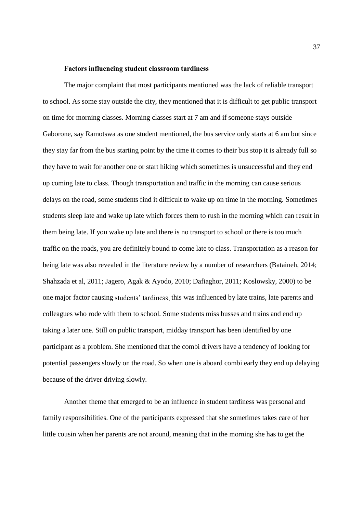### **Factors influencing student classroom tardiness**

The major complaint that most participants mentioned was the lack of reliable transport to school. As some stay outside the city, they mentioned that it is difficult to get public transport on time for morning classes. Morning classes start at 7 am and if someone stays outside Gaborone, say Ramotswa as one student mentioned, the bus service only starts at 6 am but since they stay far from the bus starting point by the time it comes to their bus stop it is already full so they have to wait for another one or start hiking which sometimes is unsuccessful and they end up coming late to class. Though transportation and traffic in the morning can cause serious delays on the road, some students find it difficult to wake up on time in the morning. Sometimes students sleep late and wake up late which forces them to rush in the morning which can result in them being late. If you wake up late and there is no transport to school or there is too much traffic on the roads, you are definitely bound to come late to class. Transportation as a reason for being late was also revealed in the literature review by a number of researchers (Bataineh, 2014; Shahzada et al, 2011; Jagero, Agak & Ayodo, 2010; Dafiaghor, 2011; Koslowsky, 2000) to be one major factor causing students' tardiness; this was influenced by late trains, late parents and colleagues who rode with them to school. Some students miss busses and trains and end up taking a later one. Still on public transport, midday transport has been identified by one participant as a problem. She mentioned that the combi drivers have a tendency of looking for potential passengers slowly on the road. So when one is aboard combi early they end up delaying because of the driver driving slowly.

Another theme that emerged to be an influence in student tardiness was personal and family responsibilities. One of the participants expressed that she sometimes takes care of her little cousin when her parents are not around, meaning that in the morning she has to get the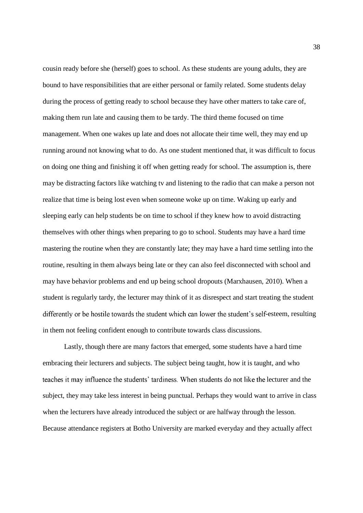cousin ready before she (herself) goes to school. As these students are young adults, they are bound to have responsibilities that are either personal or family related. Some students delay during the process of getting ready to school because they have other matters to take care of, making them run late and causing them to be tardy. The third theme focused on time management. When one wakes up late and does not allocate their time well, they may end up running around not knowing what to do. As one student mentioned that, it was difficult to focus on doing one thing and finishing it off when getting ready for school. The assumption is, there may be distracting factors like watching tv and listening to the radio that can make a person not realize that time is being lost even when someone woke up on time. Waking up early and sleeping early can help students be on time to school if they knew how to avoid distracting themselves with other things when preparing to go to school. Students may have a hard time mastering the routine when they are constantly late; they may have a hard time settling into the routine, resulting in them always being late or they can also feel disconnected with school and may have behavior problems and end up being school dropouts (Marxhausen, 2010). When a student is regularly tardy, the lecturer may think of it as disrespect and start treating the student differently or be hostile towards the student which can lower the student's self-esteem, resulting in them not feeling confident enough to contribute towards class discussions.

Lastly, though there are many factors that emerged, some students have a hard time embracing their lecturers and subjects. The subject being taught, how it is taught, and who teaches it may influence the students' tardiness. When students do not like the lecturer and the subject, they may take less interest in being punctual. Perhaps they would want to arrive in class when the lecturers have already introduced the subject or are halfway through the lesson. Because attendance registers at Botho University are marked everyday and they actually affect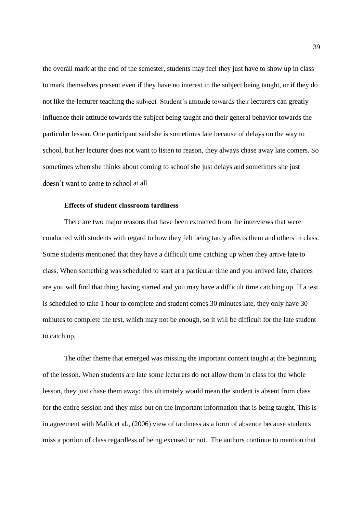the overall mark at the end of the semester, students may feel they just have to show up in class to mark themselves present even if they have no interest in the subject being taught, or if they do not like the lecturer teaching the subject. Student's attitude towards their lecturers can greatly influence their attitude towards the subject being taught and their general behavior towards the particular lesson. One participant said she is sometimes late because of delays on the way to school, but her lecturer does not want to listen to reason, they always chase away late comers. So sometimes when she thinks about coming to school she just delays and sometimes she just doesn't want to come to school at all.

### **Effects of student classroom tardiness**

There are two major reasons that have been extracted from the interviews that were conducted with students with regard to how they felt being tardy affects them and others in class. Some students mentioned that they have a difficult time catching up when they arrive late to class. When something was scheduled to start at a particular time and you arrived late, chances are you will find that thing having started and you may have a difficult time catching up. If a test is scheduled to take 1 hour to complete and student comes 30 minutes late, they only have 30 minutes to complete the test, which may not be enough, so it will be difficult for the late student to catch up.

The other theme that emerged was missing the important content taught at the beginning of the lesson. When students are late some lecturers do not allow them in class for the whole lesson, they just chase them away; this ultimately would mean the student is absent from class for the entire session and they miss out on the important information that is being taught. This is in agreement with Malik et al., (2006) view of tardiness as a form of absence because students miss a portion of class regardless of being excused or not. The authors continue to mention that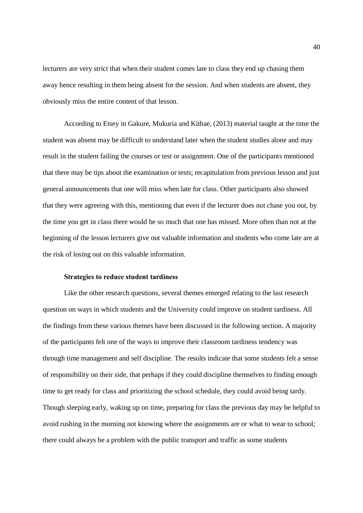lecturers are very strict that when their student comes late to class they end up chasing them away hence resulting in them being absent for the session. And when students are absent, they obviously miss the entire content of that lesson.

According to Etsey in Gakure, Mukuria and Kithae, (2013) material taught at the time the student was absent may be difficult to understand later when the student studies alone and may result in the student failing the courses or test or assignment. One of the participants mentioned that there may be tips about the examination or tests; recapitulation from previous lesson and just general announcements that one will miss when late for class. Other participants also showed that they were agreeing with this, mentioning that even if the lecturer does not chase you out, by the time you get in class there would be so much that one has missed. More often than not at the beginning of the lesson lecturers give out valuable information and students who come late are at the risk of losing out on this valuable information.

### **Strategies to reduce student tardiness**

Like the other research questions, several themes emerged relating to the last research question on ways in which students and the University could improve on student tardiness. All the findings from these various themes have been discussed in the following section. A majority of the participants felt one of the ways to improve their classroom tardiness tendency was through time management and self discipline. The results indicate that some students felt a sense of responsibility on their side, that perhaps if they could discipline themselves to finding enough time to get ready for class and prioritizing the school schedule, they could avoid being tardy. Though sleeping early, waking up on time, preparing for class the previous day may be helpful to avoid rushing in the morning not knowing where the assignments are or what to wear to school; there could always be a problem with the public transport and traffic as some students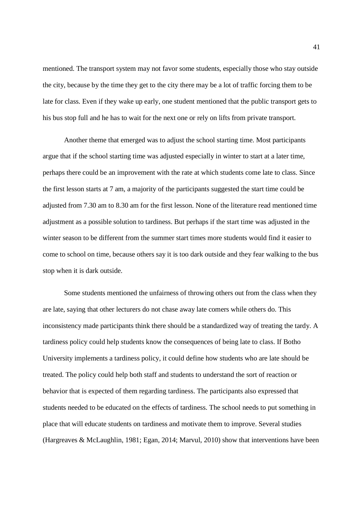mentioned. The transport system may not favor some students, especially those who stay outside the city, because by the time they get to the city there may be a lot of traffic forcing them to be late for class. Even if they wake up early, one student mentioned that the public transport gets to his bus stop full and he has to wait for the next one or rely on lifts from private transport.

Another theme that emerged was to adjust the school starting time. Most participants argue that if the school starting time was adjusted especially in winter to start at a later time, perhaps there could be an improvement with the rate at which students come late to class. Since the first lesson starts at 7 am, a majority of the participants suggested the start time could be adjusted from 7.30 am to 8.30 am for the first lesson. None of the literature read mentioned time adjustment as a possible solution to tardiness. But perhaps if the start time was adjusted in the winter season to be different from the summer start times more students would find it easier to come to school on time, because others say it is too dark outside and they fear walking to the bus stop when it is dark outside.

Some students mentioned the unfairness of throwing others out from the class when they are late, saying that other lecturers do not chase away late comers while others do. This inconsistency made participants think there should be a standardized way of treating the tardy. A tardiness policy could help students know the consequences of being late to class. If Botho University implements a tardiness policy, it could define how students who are late should be treated. The policy could help both staff and students to understand the sort of reaction or behavior that is expected of them regarding tardiness. The participants also expressed that students needed to be educated on the effects of tardiness. The school needs to put something in place that will educate students on tardiness and motivate them to improve. Several studies (Hargreaves & McLaughlin, 1981; Egan, 2014; Marvul, 2010) show that interventions have been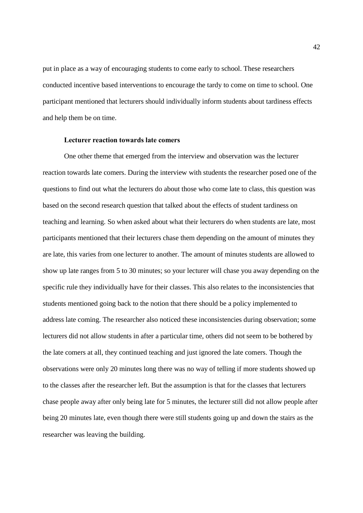put in place as a way of encouraging students to come early to school. These researchers conducted incentive based interventions to encourage the tardy to come on time to school. One participant mentioned that lecturers should individually inform students about tardiness effects and help them be on time.

### **Lecturer reaction towards late comers**

One other theme that emerged from the interview and observation was the lecturer reaction towards late comers. During the interview with students the researcher posed one of the questions to find out what the lecturers do about those who come late to class, this question was based on the second research question that talked about the effects of student tardiness on teaching and learning. So when asked about what their lecturers do when students are late, most participants mentioned that their lecturers chase them depending on the amount of minutes they are late, this varies from one lecturer to another. The amount of minutes students are allowed to show up late ranges from 5 to 30 minutes; so your lecturer will chase you away depending on the specific rule they individually have for their classes. This also relates to the inconsistencies that students mentioned going back to the notion that there should be a policy implemented to address late coming. The researcher also noticed these inconsistencies during observation; some lecturers did not allow students in after a particular time, others did not seem to be bothered by the late comers at all, they continued teaching and just ignored the late comers. Though the observations were only 20 minutes long there was no way of telling if more students showed up to the classes after the researcher left. But the assumption is that for the classes that lecturers chase people away after only being late for 5 minutes, the lecturer still did not allow people after being 20 minutes late, even though there were still students going up and down the stairs as the researcher was leaving the building.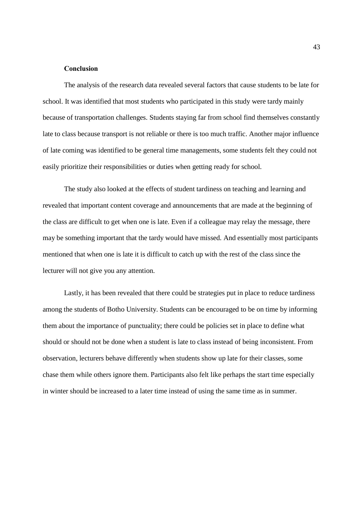### **Conclusion**

The analysis of the research data revealed several factors that cause students to be late for school. It was identified that most students who participated in this study were tardy mainly because of transportation challenges. Students staying far from school find themselves constantly late to class because transport is not reliable or there is too much traffic. Another major influence of late coming was identified to be general time managements, some students felt they could not easily prioritize their responsibilities or duties when getting ready for school.

The study also looked at the effects of student tardiness on teaching and learning and revealed that important content coverage and announcements that are made at the beginning of the class are difficult to get when one is late. Even if a colleague may relay the message, there may be something important that the tardy would have missed. And essentially most participants mentioned that when one is late it is difficult to catch up with the rest of the class since the lecturer will not give you any attention.

Lastly, it has been revealed that there could be strategies put in place to reduce tardiness among the students of Botho University. Students can be encouraged to be on time by informing them about the importance of punctuality; there could be policies set in place to define what should or should not be done when a student is late to class instead of being inconsistent. From observation, lecturers behave differently when students show up late for their classes, some chase them while others ignore them. Participants also felt like perhaps the start time especially in winter should be increased to a later time instead of using the same time as in summer.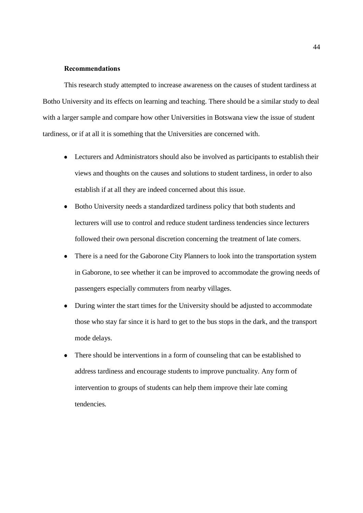### **Recommendations**

This research study attempted to increase awareness on the causes of student tardiness at Botho University and its effects on learning and teaching. There should be a similar study to deal with a larger sample and compare how other Universities in Botswana view the issue of student tardiness, or if at all it is something that the Universities are concerned with.

- Lecturers and Administrators should also be involved as participants to establish their views and thoughts on the causes and solutions to student tardiness, in order to also establish if at all they are indeed concerned about this issue.
- Botho University needs a standardized tardiness policy that both students and  $\bullet$ lecturers will use to control and reduce student tardiness tendencies since lecturers followed their own personal discretion concerning the treatment of late comers.
- There is a need for the Gaborone City Planners to look into the transportation system in Gaborone, to see whether it can be improved to accommodate the growing needs of passengers especially commuters from nearby villages.
- During winter the start times for the University should be adjusted to accommodate those who stay far since it is hard to get to the bus stops in the dark, and the transport mode delays.
- There should be interventions in a form of counseling that can be established to address tardiness and encourage students to improve punctuality. Any form of intervention to groups of students can help them improve their late coming tendencies.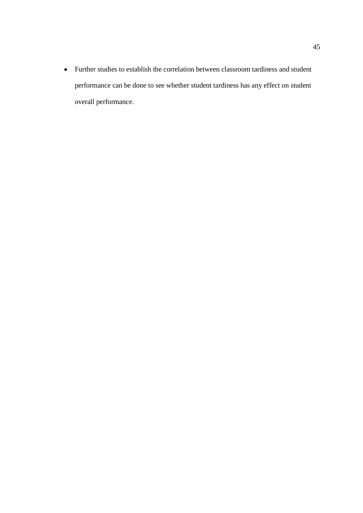Further studies to establish the correlation between classroom tardiness and student performance can be done to see whether student tardiness has any effect on student overall performance.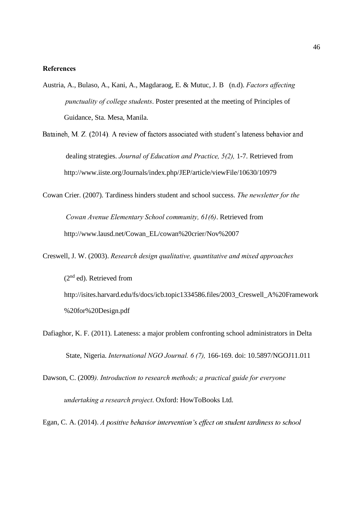### **References**

- Austria, A., Bulaso, A., Kani, A., Magdaraog, E. & Mutuc, J. B (n.d). *Factors affecting punctuality of college students*. Poster presented at the meeting of Principles of Guidance, Sta. Mesa, Manila.
- Bataineh, M. Z. (2014). A review of factors associated with student's lateness behavior and dealing strategies. *Journal of Education and Practice, 5(2),* 1-7. Retrieved from http://www.iiste.org/Journals/index.php/JEP/article/viewFile/10630/10979
- Cowan Crier. (2007). Tardiness hinders student and school success. *The newsletter for the*

*Cowan Avenue Elementary School community, 61(6)*. Retrieved from http://www.lausd.net/Cowan\_EL/cowan%20crier/Nov%2007

- Creswell, J. W. (2003). *Research design qualitative, quantitative and mixed approaches*  $(2<sup>nd</sup>$  ed). Retrieved from http://isites.harvard.edu/fs/docs/icb.topic1334586.files/2003\_Creswell\_A%20Framework %20for%20Design.pdf
- Dafiaghor, K. F. (2011). Lateness: a major problem confronting school administrators in Delta State, Nigeria. *International NGO Journal. 6 (7),* 166-169. doi: 10.5897/NGOJ11.011

Dawson, C. (2009*). Introduction to research methods; a practical guide for everyone undertaking a research project*. Oxford: HowToBooks Ltd.

Egan, C. A. (2014). A positive behavior intervention's effect on student tardiness to school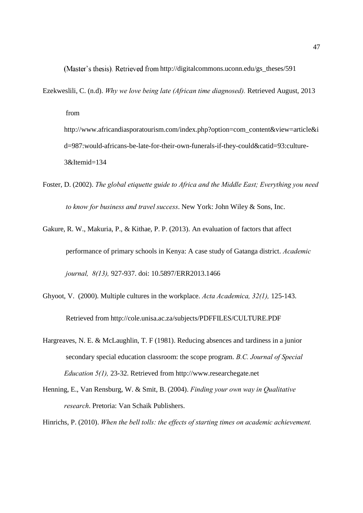(Master's thesis). Retrieved from http://digitalcommons.uconn.edu/gs\_theses/591

Ezekweslili, C. (n.d). *Why we love being late (African time diagnosed).* Retrieved August, 2013

from

http://www.africandiasporatourism.com/index.php?option=com\_content&view=article&i d=987:would-africans-be-late-for-their-own-funerals-if-they-could&catid=93:culture-3&Itemid=134

- Foster, D. (2002). *The global etiquette guide to Africa and the Middle East; Everything you need to know for business and travel success*. New York: John Wiley & Sons, Inc.
- Gakure, R. W., Makuria, P., & Kithae, P. P. (2013). An evaluation of factors that affect performance of primary schools in Kenya: A case study of Gatanga district. *Academic journal, 8(13),* 927-937. doi: 10.5897/ERR2013.1466
- Ghyoot, V. (2000). Multiple cultures in the workplace. *Acta Academica, 32(1),* 125-143. Retrieved from http://cole.unisa.ac.za/subjects/PDFFILES/CULTURE.PDF
- Hargreaves, N. E. & McLaughlin, T. F (1981). Reducing absences and tardiness in a junior secondary special education classroom: the scope program. *B.C. Journal of Special Education 5(1),* 23-32. Retrieved from http://www.researchegate.net
- Henning, E., Van Rensburg, W. & Smit, B. (2004). *Finding your own way in Qualitative research*. Pretoria: Van Schaik Publishers.

Hinrichs, P. (2010). *When the bell tolls: the effects of starting times on academic achievement.*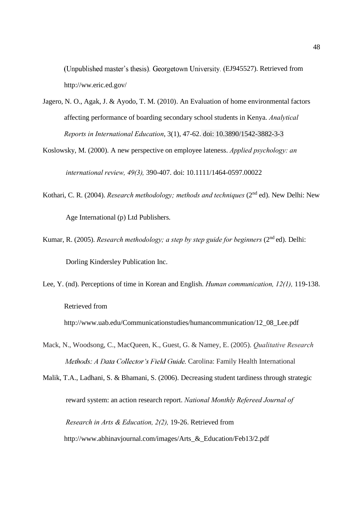(Unpublished master's thesis). Georgetown University. (EJ945527). Retrieved from http://ww.eric.ed.gov/

- Jagero, N. O., Agak, J. & Ayodo, T. M. (2010). An Evaluation of home environmental factors affecting performance of boarding secondary school students in Kenya. *Analytical Reports in International Education*, 3(1), 47-62. doi: 10.3890/1542-3882-3-3
- Koslowsky, M. (2000). A new perspective on employee lateness. *Applied psychology: an international review, 49(3),* 390-407. doi: 10.1111/1464-0597.00022
- Kothari, C. R. (2004). *Research methodology; methods and techniques* (2<sup>nd</sup> ed). New Delhi: New Age International (p) Ltd Publishers.
- Kumar, R. (2005). *Research methodology; a step by step guide for beginners* (2<sup>nd</sup> ed). Delhi: Dorling Kindersley Publication Inc.
- Lee, Y. (nd). Perceptions of time in Korean and English. *Human communication, 12(1),* 119-138. Retrieved from

http://www.uab.edu/Communicationstudies/humancommunication/12\_08\_Lee.pdf

Mack, N., Woodsong, C., MacQueen, K., Guest, G. & Namey, E. (2005). *Qualitative Research* Methods: A Data Collector's Field Guide. Carolina: Family Health International

Malik, T.A., Ladhani, S. & Bhamani, S. (2006). Decreasing student tardiness through strategic reward system: an action research report. *National Monthly Refereed Journal of Research in Arts & Education, 2(2),* 19-26. Retrieved from http://www.abhinavjournal.com/images/Arts\_&\_Education/Feb13/2.pdf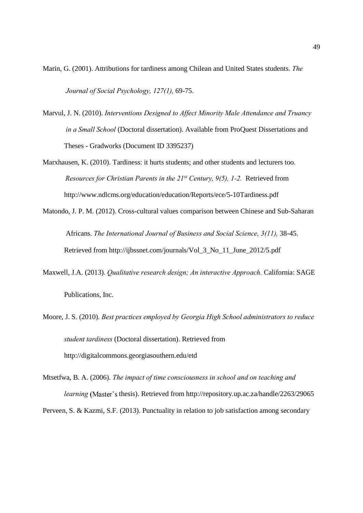- Marin, G. (2001). Attributions for tardiness among Chilean and United States students. *The Journal of Social Psychology, 127(1),* 69-75.
- Marvul, J. N. (2010). *Interventions Designed to Affect Minority Male Attendance and Truancy in a Small School* (Doctoral dissertation). Available from ProQuest Dissertations and Theses - Gradworks (Document ID 3395237)
- Marxhausen, K. (2010). Tardiness: it hurts students; and other students and lecturers too. *Resources for Christian Parents in the 21st Century, 9(5), 1-2.* Retrieved from http://www.ndlcms.org/education/education/Reports/ece/5-10Tardiness.pdf
- Matondo, J. P. M. (2012). Cross-cultural values comparison between Chinese and Sub-Saharan Africans. *The International Journal of Business and Social Science, 3(11),* 38-45. Retrieved from http://ijbssnet.com/journals/Vol\_3\_No\_11\_June\_2012/5.pdf
- Maxwell, J.A. (2013). *Qualitative research design; An interactive Approach.* California: SAGE Publications, Inc.
- Moore, J. S. (2010). *Best practices employed by Georgia High School administrators to reduce student tardiness* (Doctoral dissertation). Retrieved from http://digitalcommons.georgiasouthern.edu/etd
- Mtsetfwa, B. A. (2006). *The impact of time consciousness in school and on teaching and learning* (Master's thesis). Retrieved from http://repository.up.ac.za/handle/2263/29065 Perveen, S. & Kazmi, S.F. (2013). Punctuality in relation to job satisfaction among secondary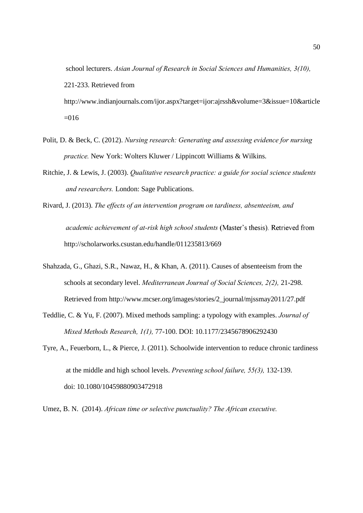school lecturers. *Asian Journal of Research in Social Sciences and Humanities, 3(10),*  221-233. Retrieved from http://www.indianjournals.com/ijor.aspx?target=ijor:ajrssh&volume=3&issue=10&article  $=016$ 

- Polit, D. & Beck, C. (2012). *Nursing research: Generating and assessing evidence for nursing practice.* New York: Wolters Kluwer / Lippincott Williams & Wilkins.
- Ritchie, J. & Lewis, J. (2003). *Qualitative research practice: a guide for social science students and researchers.* London: Sage Publications.
- Rivard, J. (2013). *The effects of an intervention program on tardiness, absenteeism, and academic achievement of at-risk high school students* http://scholarworks.csustan.edu/handle/011235813/669
- Shahzada, G., Ghazi, S.R., Nawaz, H., & Khan, A. (2011). Causes of absenteeism from the schools at secondary level. *Mediterranean Journal of Social Sciences, 2(2),* 21-298. Retrieved from http://www.mcser.org/images/stories/2\_journal/mjssmay2011/27.pdf
- Teddlie, C. & Yu, F. (2007). Mixed methods sampling: a typology with examples. *Journal of Mixed Methods Research, 1(1),* 77-100. DOI: 10.1177/2345678906292430
- Tyre, A., Feuerborn, L., & Pierce, J. (2011). Schoolwide intervention to reduce chronic tardiness at the middle and high school levels. *Preventing school failure, 55(3),* 132-139. doi: 10.1080/10459880903472918

Umez, B. N. (2014). *African time or selective punctuality? The African executive.*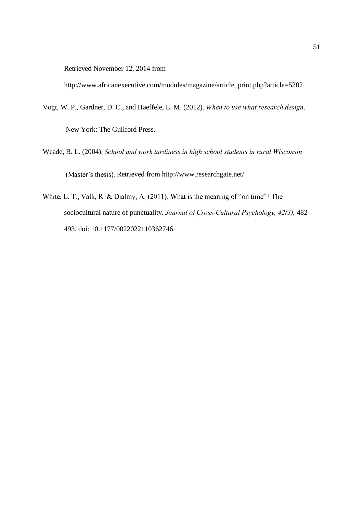Retrieved November 12, 2014 from

http://www.africanexecutive.com/modules/magazine/article\_print.php?article=5202

- Vogt, W. P., Gardner, D. C., and Haeffele, L. M. (2012). *When to use what research design*. New York: The Guilford Press.
- Weade, B. L. (2004). *School and work tardiness in high school students in rural Wisconsin* (Master's thesis). Retrieved from http://www.researchgate.net/
- White, L. T., Valk, R. & Dialmy, A. (2011). What is the meaning of "on time"? The sociocultural nature of punctuality. *Journal of Cross-Cultural Psychology, 42(3),* 482- 493. doi: 10.1177/0022022110362746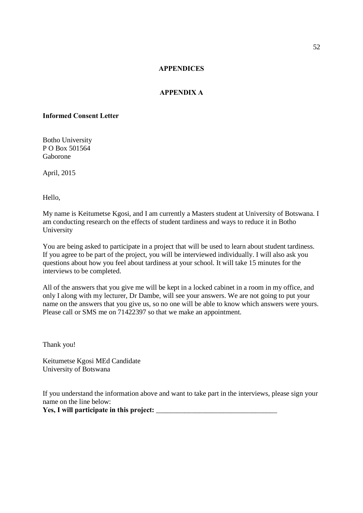### **APPENDICES**

### **APPENDIX A**

### **Informed Consent Letter**

Botho University P O Box 501564 Gaborone

April, 2015

Hello,

My name is Keitumetse Kgosi, and I am currently a Masters student at University of Botswana. I am conducting research on the effects of student tardiness and ways to reduce it in Botho University

You are being asked to participate in a project that will be used to learn about student tardiness. If you agree to be part of the project, you will be interviewed individually. I will also ask you questions about how you feel about tardiness at your school. It will take 15 minutes for the interviews to be completed.

All of the answers that you give me will be kept in a locked cabinet in a room in my office, and only I along with my lecturer, Dr Dambe, will see your answers. We are not going to put your name on the answers that you give us, so no one will be able to know which answers were yours. Please call or SMS me on 71422397 so that we make an appointment.

Thank you!

Keitumetse Kgosi MEd Candidate University of Botswana

If you understand the information above and want to take part in the interviews, please sign your name on the line below:

**Yes, I will participate in this project:** \_\_\_\_\_\_\_\_\_\_\_\_\_\_\_\_\_\_\_\_\_\_\_\_\_\_\_\_\_\_\_\_\_\_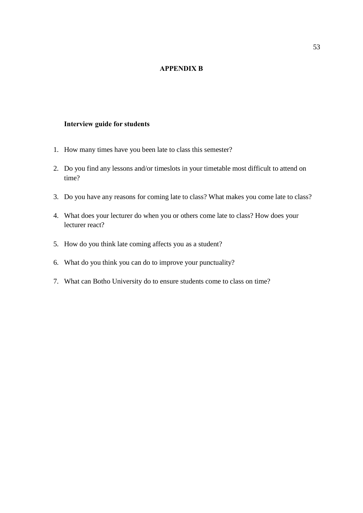### **APPENDIX B**

### **Interview guide for students**

- 1. How many times have you been late to class this semester?
- 2. Do you find any lessons and/or timeslots in your timetable most difficult to attend on time?
- 3. Do you have any reasons for coming late to class? What makes you come late to class?
- 4. What does your lecturer do when you or others come late to class? How does your lecturer react?
- 5. How do you think late coming affects you as a student?
- 6. What do you think you can do to improve your punctuality?
- 7. What can Botho University do to ensure students come to class on time?